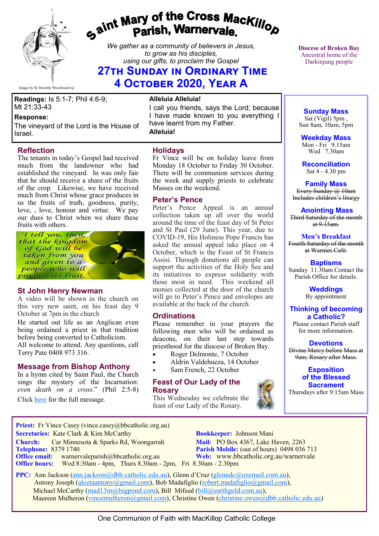

# gaint Mary of the Cross Mackillop<br>g<sup>aint</sup> Parish, Warnervale.

*We gather as a community of believers in Jesus, to grow as his disciples, using our gifts, to proclaim the Gospel*

## **27th Sunday in Ordinary Time 4 October 2020, Year A**

Image by Sr Dorothy Woodward rsj

### **Readings:** Is 5:1-7; Phil 4:6-9; Mt 21:33-43

### **Response:**

The vineyard of the Lord is the House of Israel.

### **Reflection**

The tenants in today's Gospel had received much from the landowner who had established the vineyard. In was only fair that he should receive a share of the fruits of the crop. Likewise, we have received much from Christ whose grace produces in us the fruits of truth, goodness, purity, love, , love, honour and virtue. We pay our dues to Christ when we share these fruits with others.

I tell you, then. that the kingdom of God will be taken from you and given to a people who will produce its fruit.

### **St John Henry Newman**

A video will be shown in the church on this very new saint, on his feast day 9 October at 7pm in the church

He started out life as an Anglican even being ordained a priest in that tradition before being converted to Catholicism. All welcome to attend. Any questions, call Terry Pate 0408 973 316.

### **Message from Bishop Anthony**

In a hymn cited by Saint Paul, the Church sings the mystery of the Incarnation: *even death on a cross*." (Phil 2:5-8)

Click [here](https://bbcatholic.us8.list-manage.com/track/click?u=466af249e088db70ab864d088&id=25739b59ca&e=082a8c9b01) for the full message.

### **Alleluia Alleluia!**

I call you friends, says the Lord; because I have made known to you everything I have learnt from my Father.

**Alleluia!**

### **Holidays**

Fr Vince will be on holiday leave from Monday 18 October to Friday 30 October. There will be communion services during the week and supply priests to celebrate Masses on the weekend.

### **Peter's Pence**

Peter's Pence Appeal is an annual collection taken up all over the world around the time of the feast day of St Peter and St Paul (29 June). This year, due to COVID-19, His Holiness Pope Francis has asked the annual appeal take place on 4 October, which is the Feast of St Francis Assisi. Through donations all people can support the activities of the Holy See and its initiatives to express solidarity with those most in need. This weekend all monies collected at the door of the church will go to Peter's Pence and envelopes are available at the back of the church.

### **Ordinations**

Please remember in your prayers the following men who will be ordained as deacons, on their last step towards priesthood for the diocese of Broken Bay.

- Roger Delmonte, 7 October
- Aldrin Valdehueza, 14 October
- Sam French, 22 October

### **Feast of Our Lady of the Rosary**

This Wednesday we celebrate the feast of our Lady of the Rosary.



**Diocese of Broken Bay**  Ancestral home of the Darkinjung people

### **Sunday Mass** Sat (Vigil) 5pm, Sun 8am, 10am, 5pm

**Weekday Mass** Mon - Fri  $9.15$ am Wed 7.30am

**Reconciliation** Sat 4 - 4.30 pm

**Family Mass**  Every Sunday @ 10am Includes children's liturgy

### **Anointing Mass**

Third Saturday of the month at  $9.15$ am.

**Men's Breakfast** Fourth Saturday of the month at Warnies Café.

**Baptisms** Sunday 11.30am Contact the Parish Office for details.

### **Weddings**

By appointment

### **Thinking of becoming a Catholic?**

Please contact Parish staff for more information.

### **Devotions** Divine Mercy before Mass at

9am; Rosary after Mass.

### **Exposition of the Blessed Sacrament**

Thursdays after 9:15am Mass

**Priest:** Fr Vince Casey (vince.casey@bbcatholic.org.au) **Secretaries:** Kate Clark & Kim McCarthy **Bookkeeper:** Johnson Mani

**Office hours:** Wed 8:30am - 4pm, Thurs 8.30am - 2pm, Fri 8.30am - 2.30pm

**Church:** Car Minnesota & Sparks Rd, Woongarrah **Mail:** PO Box 4367, Lake Haven, 2263<br> **Telephone:** 8379 1740 **Parish Mobile:** (out of hours) 0498 036 **Parish Mobile:** (out of hours) 0498 036 713 **Office email:** warnervaleparish@bbcatholic.org.au **Web:** [www.bbcatholic.org.au/warnervale](https://www.bbcatholic.org.au/warnervale)

 **PPC:** Ann Jackson ([ann.jackson@dbb.catholic.edu.au\),](mailto:ann.jackson@dbb.catholic.edu.au) Glenn d'Cruz ([glenndc@ozemail.com.au\)](mailto:glenndc@ozemail.com.au), Antony Joseph ([aleetaantony@gmail.com\),](mailto:aleetaantony@gmail.com) Bob Madafiglio [\(robert.madafiglio@gmail.com\),](mailto:robert.madafiglio@gmail.com) Michael McCarthy ([mad13m@bigpond.com\)](mailto:mad13m@bigpond.com), Bill Mifsud ([bill@earthgold.com.au\),](mailto:bill@earthgold.com.au) Maureen Mulheron ([vincemulheron@gmail.com\)](mailto:vincemulheron@gmail.com), Christine Owen (christine.owen[@dbb.catholic.edu.au\)](mailto:ann.jackson@dbb.catholic.edu.au)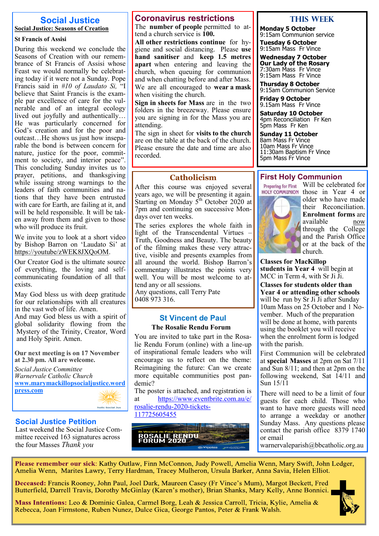### **Social Justice Social Justice: Seasons of Creation**

### **St Francis of Assisi**

During this weekend we conclude the Seasons of Creation with our remembrance of St Francis of Assisi whose Feast we would normally be celebrating today if it were not a Sunday. Pope Francis said in *#10 of Laudato Si,* "I believe that Saint Francis is the example par excellence of care for the vulnerable and of an integral ecology lived out joyfully and authentically… He was particularly concerned for God's creation and for the poor and outcast…He shows us just how inseparable the bond is between concern for nature, justice for the poor, commitment to society, and interior peace". This concluding Sunday invites us to prayer, petitions, and thanksgiving while issuing strong warnings to the leaders of faith communities and nations that they have been entrusted with care for Earth, are failing at it, and will be held responsible. It will be taken away from them and given to those who will produce its fruit.

We invite you to look at a short video by Bishop Barron on 'Laudato Si' at [https://youtube/zWEK8JXQoOM.](https://youtube/zWEK8JXQoOM) 

Our Creator God is the ultimate source of everything, the loving and selfcommunicating foundation of all that exists.

May God bless us with deep gratitude for our relationships with all creatures in the vast web of life. Amen.

And may God bless us with a spirit of global solidarity flowing from the Mystery of the Trinity, Creator, Word and Holy Spirit. Amen.

**Our next meeting is on 17 November at 2.30 pm. All are welcome.**

*Social Justice Committee Warnervale Catholic Church* **[www.marymackillopsocialjustice.word](http://www.marymackillopsocialjustice.wordpress.com) [press.com](http://www.marymackillopsocialjustice.wordpress.com)**  $N/M$ 

# holic Social Just

### **Social Justice Petition**

Last weekend the Social Justice Committee received 163 signatures across the four Masses *Thank you*

### **Coronavirus restrictions**

The **number of people** permitted to attend a church service is **100.** 

**All other restrictions continue** for hygiene and social distancing. Please **use hand sanitiser** and **keep 1.5 metres apart** when entering and leaving the church, when queuing for communion and when chatting before and after Mass. We are all encouraged to **wear a mask**  when visiting the church.

**Sign in sheets for Mass** are in the two folders in the breezeway. Please ensure you are signing in for the Mass you are attending.

The sign in sheet for **visits to the church**  are on the table at the back of the church. Please ensure the date and time are also recorded.

### **Catholicism**

After this course was enjoyed several years ago, we will be presenting it again. Starting on Monday  $5^{\text{th}}$  October 2020 at 7pm and continuing on successive Mondays over ten weeks.

The series explores the whole faith in light of the Transcendental Virtues – Truth, Goodness and Beauty. The beauty of the filming makes these very attractive, visible and presents examples from all around the world. Bishop Barron's commentary illustrates the points very well. You will be most welcome to attend any or all sessions.

Any questions, call Terry Pate 0408 973 316.

### **St Vincent de Paul**

### **The Rosalie Rendu Forum**

You are invited to take part in the Rosalie Rendu Forum (online) with a line-up of inspirational female leaders who will encourage us to reflect on the theme: Reimagining the future: Can we create more equitable communities post pandemic?

The poster is attached, and registration is at [https://www.eventbrite.com.au/e/](https://www.eventbrite.com.au/e/rosalie-rendu-2020-tickets-117725605455) [rosalie](https://www.eventbrite.com.au/e/rosalie-rendu-2020-tickets-117725605455)-rendu-2020-tickets-

[117725605455](https://www.eventbrite.com.au/e/rosalie-rendu-2020-tickets-117725605455)



### **This WeeK**

**Monday 5 October** 9:15am Communion service **Tuesday 6 October**

9:15am Mass Fr Vince

**Wednesday 7 October Our Lady of the Rosary** 7:30am Mass Fr Vince 9:15am Mass Fr Vince

**Thursday 8 October** 9:15am Communion Service

**Friday 9 October** 9.15am Mass Fr Vince

**Saturday 10 October** 4pm Reconciliation Fr Ken 5pm Mass Fr Ken

**Sunday 11 October** 8am Mass Fr Vince 10am Mass Fr Vince 11:30am Baptism Fr Vince 5pm Mass Fr Vince

### **First Holy Communion**

**Preparing for First HOLY COMMUNION** 



those in Year 4 or older who have made their Reconciliation. **Enrolment forms** are available now through the College and the Parish Office or at the back of the church.

Will be celebrated for

**Classes for MacKillop students in Year 4** will begin at MCC in Term 4, with Sr Ji Ji.

**Classes for students older than Year 4 or attending other schools**  will be run by Sr Ji Ji after Sunday 10am Mass on 25 October and 1 November. Much of the preparation will be done at home, with parents using the booklet you will receive when the enrolment form is lodged with the parish.

First Communion will be celebrated at **special Masses** at 2pm on Sat 7/11 and Sun 8/11; and then at 2pm on the following weekend, Sat  $14/11$  and Sun 15/11

There will need to be a limit of four guests for each child. Those who want to have more guests will need to arrange a weekday or another Sunday Mass. Any questions please contact the parish office 8379 1740 or email

warnervaleparish@bbcatholic.org.au

Please remember our sick: Kathy Outlaw, Finn McConnon, Judy Powell, Amelia Wenn, Mary Swift, John Ledger, Amelia Wenn, Marites Lawry, Terry Hardman, Tracey Mulheron, Ursula Barker, Anna Savia, Helen Elliot.

Deceased: Francis Rooney, John Paul, Joel Dark, Maureen Casey (Fr Vince's Mum), Margot Beckett, Fred Butterfield, Darrell Travis, Dorothy McGinlay (Karen's mother), Brian Shanks, Mary Kelly, Anne Bonnici.

Mass Intentions: Leo & Dominic Galea, Carmel Borg, Leah & Jessica Carroll, Tricia, Kylie, Amelia & Rebecca, Joan Firmstone, Ruben Nunez, Dulce Gica, George Pantos, Peter & Frank Walsh.

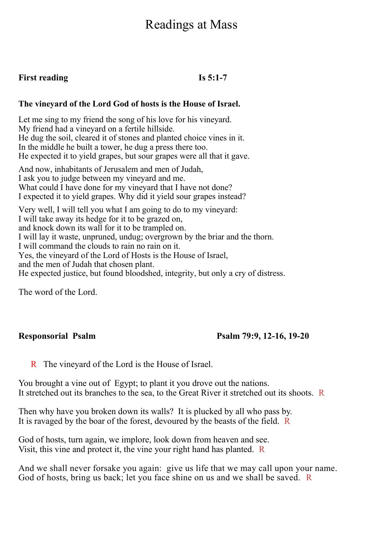# Readings at Mass

### **First reading Is 5:1-7**

### **The vineyard of the Lord God of hosts is the House of Israel.**

Let me sing to my friend the song of his love for his vineyard. My friend had a vineyard on a fertile hillside. He dug the soil, cleared it of stones and planted choice vines in it. In the middle he built a tower, he dug a press there too. He expected it to yield grapes, but sour grapes were all that it gave.

And now, inhabitants of Jerusalem and men of Judah, I ask you to judge between my vineyard and me. What could I have done for my vineyard that I have not done? I expected it to yield grapes. Why did it yield sour grapes instead? Very well, I will tell you what I am going to do to my vineyard: I will take away its hedge for it to be grazed on, and knock down its wall for it to be trampled on. I will lay it waste, unpruned, undug; overgrown by the briar and the thorn.

I will command the clouds to rain no rain on it.

Yes, the vineyard of the Lord of Hosts is the House of Israel,

and the men of Judah that chosen plant.

He expected justice, but found bloodshed, integrity, but only a cry of distress.

The word of the Lord.

### **Responsorial Psalm Psalm 79:9, 12-16, 19-20**

R The vineyard of the Lord is the House of Israel.

You brought a vine out of Egypt; to plant it you drove out the nations. It stretched out its branches to the sea, to the Great River it stretched out its shoots. R

Then why have you broken down its walls? It is plucked by all who pass by. It is ravaged by the boar of the forest, devoured by the beasts of the field. R

God of hosts, turn again, we implore, look down from heaven and see. Visit, this vine and protect it, the vine your right hand has planted. R

And we shall never forsake you again: give us life that we may call upon your name. God of hosts, bring us back; let you face shine on us and we shall be saved. R